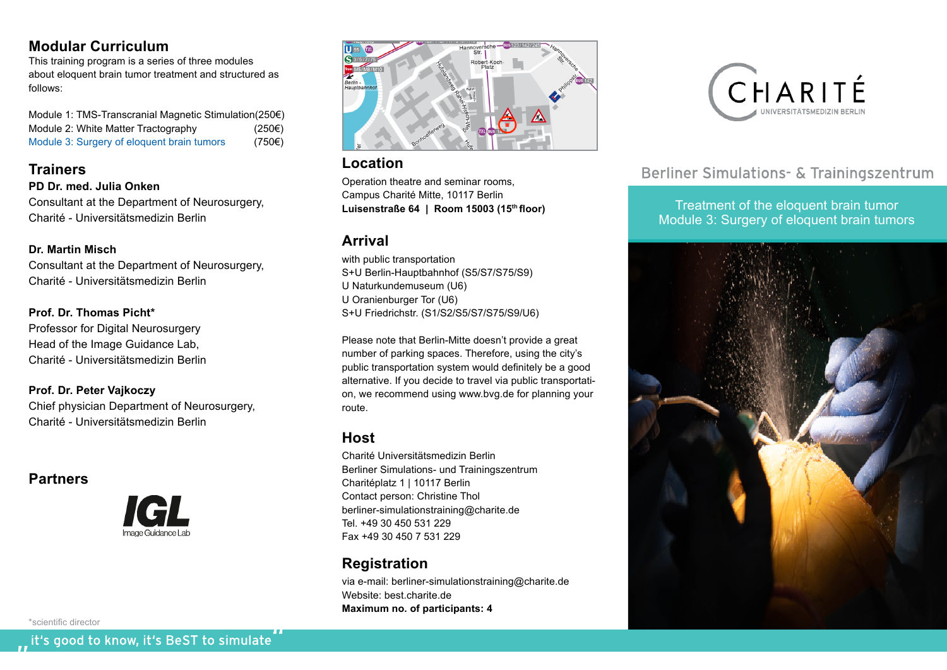### **Modular Curriculum**

This training program is a series of three modules about eloquent brain tumor treatment and structured as follows:

Module 1: TMS-Transcranial Magnetic Stimulation(250€) Module 2: White Matter Tractography (250€) Module 3: Surgery of eloquent brain tumors (750€)

## **Trainers**

**PD Dr. med. Julia Onken** Consultant at the Department of Neurosurgery, Charité - Universitätsmedizin Berlin

### **Dr. Martin Misch**

Consultant at the Department of Neurosurgery, Charité - Universitätsmedizin Berlin

## **Prof. Dr. Thomas Picht\***

Professor for Digital Neurosurgery Head of the Image Guidance Lab, Charité - Universitätsmedizin Berlin

**Prof. Dr. Peter Vajkoczy** Chief physician Department of Neurosurgery, Charité - Universitätsmedizin Berlin

## **Partners**



\*scientific director





## **Location**

Operation theatre and seminar rooms, Campus Charité Mitte, 10117 Berlin **Luisenstraße 64 | Room 15003 (15th floor)**

# **Arrival**

with public transportation S+U Berlin-Hauptbahnhof (S5/S7/S75/S9) U Naturkundemuseum (U6) U Oranienburger Tor (U6) S+U Friedrichstr. (S1/S2/S5/S7/S75/S9/U6)

Please note that Berlin-Mitte doesn't provide a great number of parking spaces. Therefore, using the city's public transportation system would definitely be a good alternative. If you decide to travel via public transportation, we recommend using www.bvg.de for planning your route.

## **Host**

Charité Universitätsmedizin Berlin Berliner Simulations- und Trainingszentrum Charitéplatz 1 | 10117 Berlin Contact person: Christine Thol berliner-simulationstraining@charite.de Tel. +49 30 450 531 229 Fax +49 30 450 7 531 229

# **Registration**

via e-mail: berliner-simulationstraining@charite.de Website: best.charite.de **Maximum no. of participants: 4**



# Berliner Simulations- & Trainingszentrum

Treatment of the eloquent brain tumor Module 3: Surgery of eloquent brain tumors